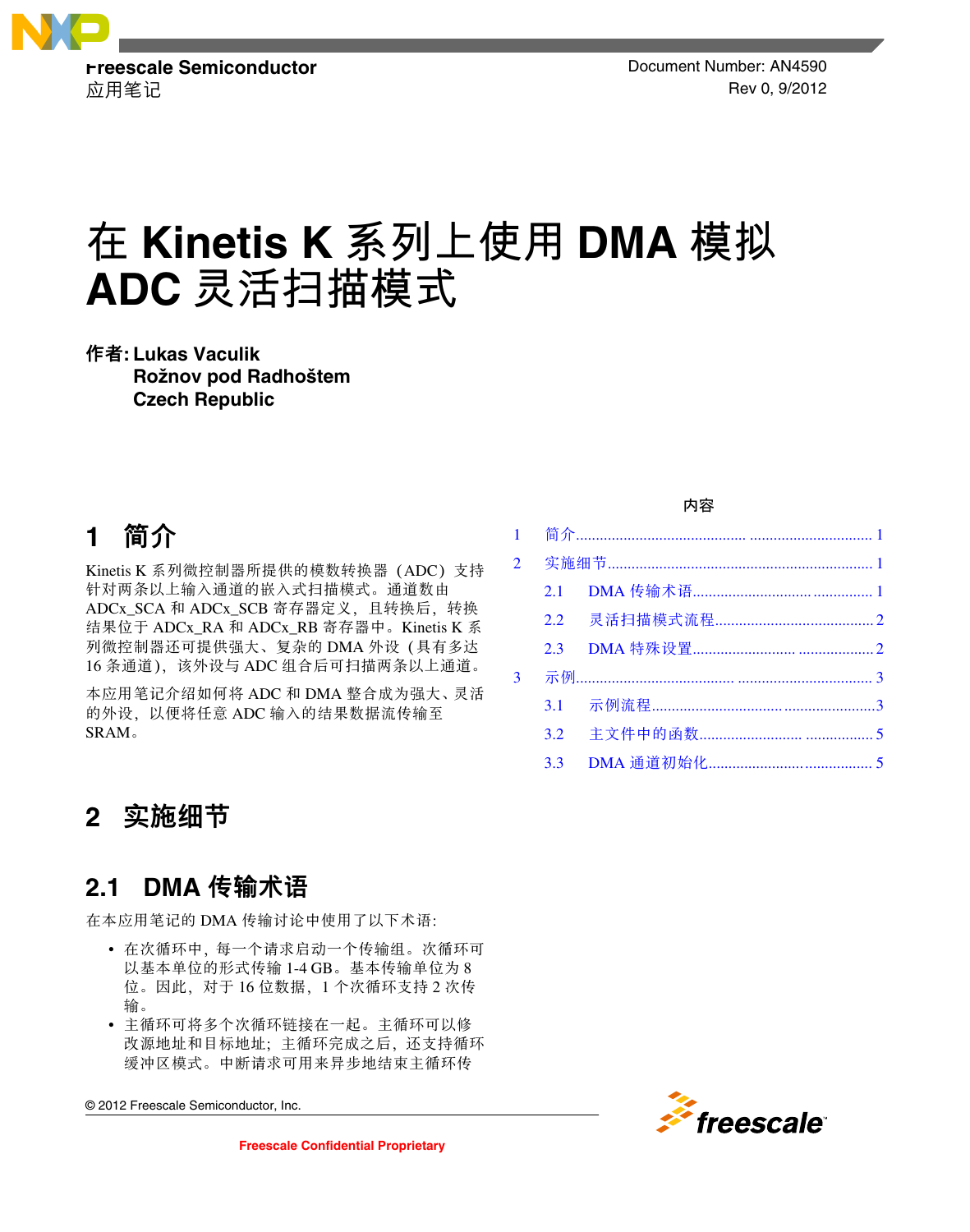

应用笔记 Rev 0, 9/2012

# **在 Kinetis K 系列上使用 DMA 模拟 ADC 灵活扫描模式**

作者**: Lukas Vaculik Rožnov pod Radhoštem Czech Republic**

# **1** 简介

Kinetis K 系列微控制器所提供的模数转换器(ADC)支持 针对两条以上输入通道的嵌入式扫描模式。通道数由 ADCx\_SCA 和 ADCx\_SCB 寄存器定义,且转换后,转换 结果位于 ADCx\_RA 和 ADCx\_RB 寄存器中。Kinetis K 系 列微控制器还可提供强大、复杂的 DMA 外设(具有多达 16 条通道), 该外设与 ADC 组合后可扫描两条以上通道。

本应用笔记介绍如何将 ADC 和 DMA 整合成为强大、灵活 的外设,以便将任意 ADC 输入的结果数据流传输至 SRAM。

#### 实施细节 **2**

## **2.1 DMA** 传输术语

在本应用笔记的 DMA 传输讨论中使用了以下术语:

- 在次循环中,每一个请求启动一个传输组。次循环可 以基本单位的形式传输 1-4 GB。基本传输单位为 8 位。因此,对于 16 位数据,1 个次循环支持 2 次传 输。
- 主循环可将多个次循环链接在一起。主循环可以修 改源地址和目标地址;主循环完成之后,还支持循环 缓冲区模式。中断请求可用来异步地结束主循环传

© 2012 Freescale Semiconductor, Inc.

#### 内容

| $\overline{2}$ |         |  |  |
|----------------|---------|--|--|
|                | 2.1     |  |  |
|                |         |  |  |
|                | $2.3 -$ |  |  |
| 3              |         |  |  |
|                | 3.1     |  |  |
|                |         |  |  |
|                | 3.3     |  |  |

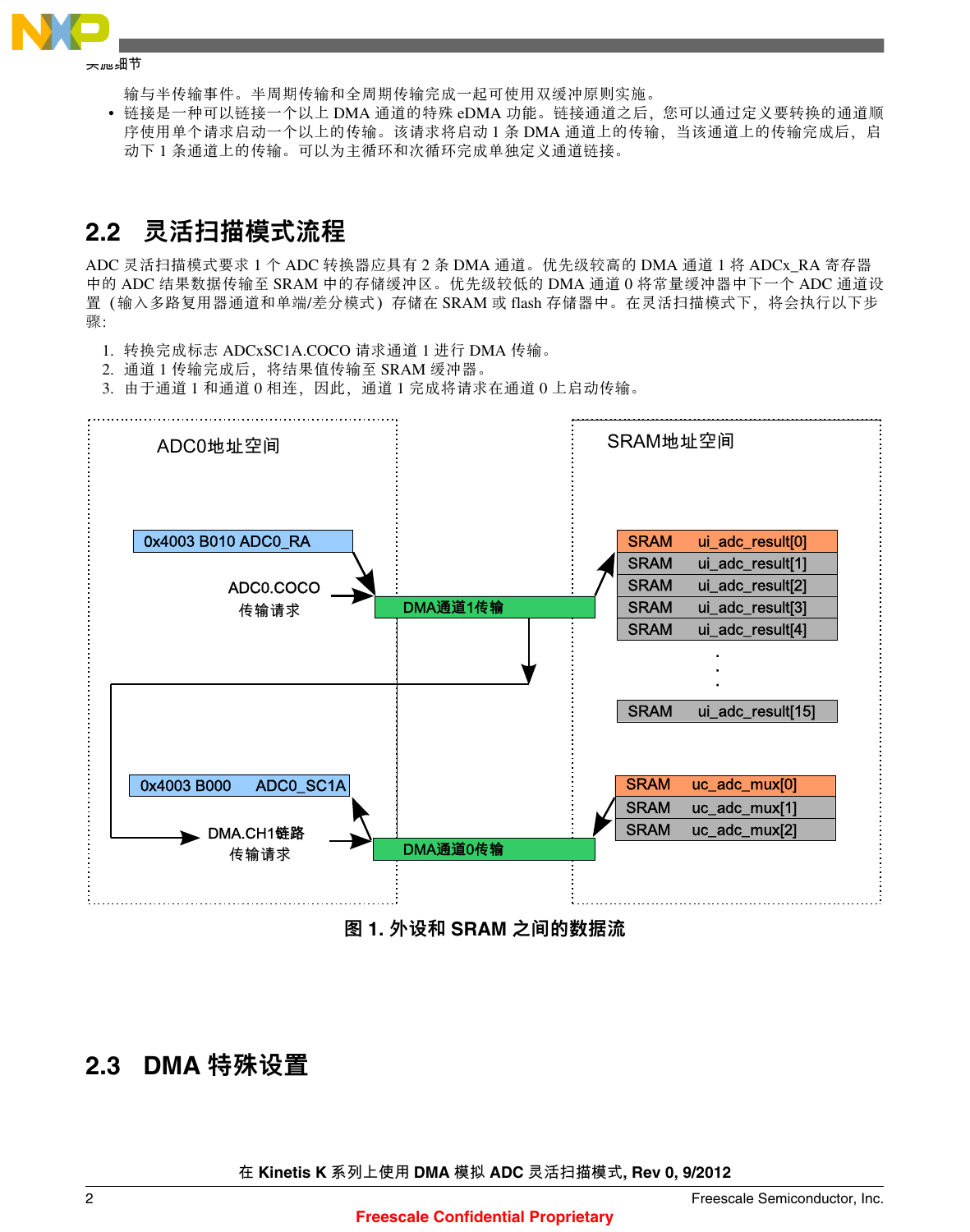<span id="page-1-0"></span>

**实施细节**

输与半传输事件。半周期传输和全周期传输完成一起可使用双缓冲原则实施。

• 链接是一种可以链接一个以上 DMA 通道的特殊 eDMA 功能。链接通道之后,您可以通过定义要转换的通道顺 序使用单个请求启动一个以上的传输。该请求将启动 1 条 DMA 通道上的传输, 当该通道上的传输完成后, 启 动下 1 条通道上的传输。可以为主循环和次循环完成单独定义通道链接。

# **2.2** 灵活扫描模式流程

ADC 灵活扫描模式要求 1 个 ADC 转换器应具有 2 条 DMA 通道。优先级较高的 DMA 通道 1 将 ADCx\_RA 寄存器 中的 ADC 结果数据传输至 SRAM 中的存储缓冲区。优先级较低的 DMA 通道 0 将常量缓冲器中下一个 ADC 通道设 置(输入多路复用器通道和单端/差分模式)存储在 SRAM 或 flash 存储器中。在灵活扫描模式下,将会执行以下步 骤:

- 1. 转换完成标志 ADCxSC1A.COCO 请求通道 1 进行 DMA 传输。
- 2. 通道 1 传输完成后, 将结果值传输至 SRAM 缓冲器。

3. 由于通道 1 和通道 0 相连, 因此, 通道 1 完成将请求在通道 0 上启动传输。



图 **1.** 外设和 **SRAM** 之间的数据流

### **2.3 DMA** 特殊设置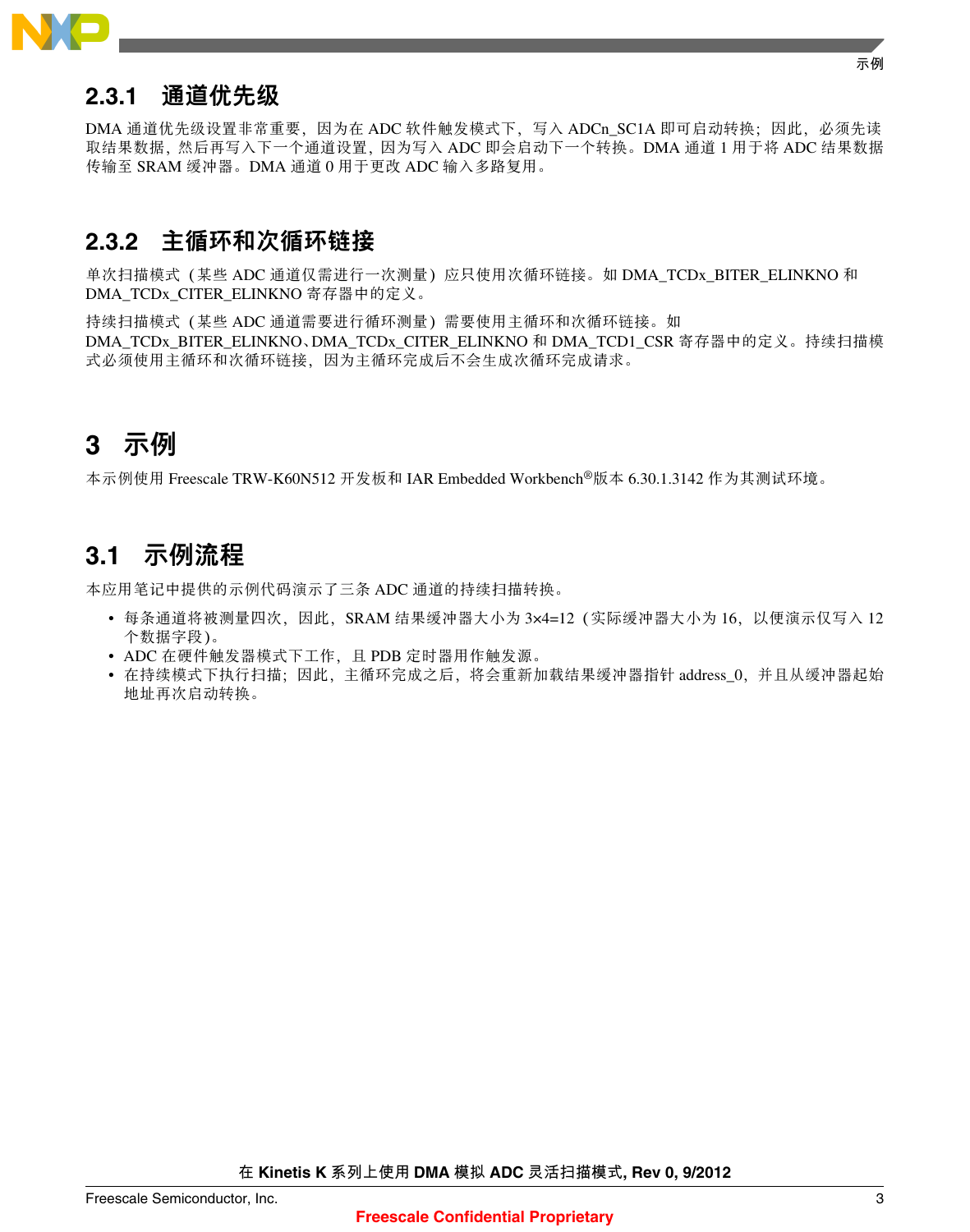<span id="page-2-0"></span>

## **2.3.1** 通道优先级

DMA 通道优先级设置非常重要,因为在 ADC 软件触发模式下,写入 ADCn\_SC1A 即可启动转换;因此,必须先读 取结果数据,然后再写入下一个通道设置,因为写入 ADC 即会启动下一个转换。DMA 通道 1 用于将 ADC 结果数据 传输至 SRAM 缓冲器。DMA 通道 0 用于更改 ADC 输入多路复用。

## **2.3.2** 主循环和次循环链接

单次扫描模式 (某些 ADC 通道仅需进行一次测量) 应只使用次循环链接。如 DMA\_TCDx\_BITER\_ELINKNO 和 DMA\_TCDx\_CITER\_ELINKNO 寄存器中的定义。

持续扫描模式(某些 ADC 通道需要进行循环测量)需要使用主循环和次循环链接。如 DMA TCDx\_BITER\_ELINKNO、DMA\_TCDx\_CITER\_ELINKNO 和 DMA\_TCD1\_CSR 寄存器中的定义。持续扫描模 式必须使用主循环和次循环链接,因为主循环完成后不会生成次循环完成请求。

# **3** 示例

本示例使用 Freescale TRW-K60N512 开发板和 IAR Embedded Workbench®版本 6.30.1.3142 作为其测试环境。

# **3.1** 示例流程

本应用笔记中提供的示例代码演示了三条 ADC 通道的持续扫描转换。

- 每条通道将被测量四次,因此,SRAM 结果缓冲器大小为 3×4=12 (实际缓冲器大小为 16,以便演示仅写入 12 个数据字段)。
- ADC 在硬件触发器模式下工作,且 PDB 定时器用作触发源。
- 在持续模式下执行扫描;因此,主循环完成之后,将会重新加载结果缓冲器指针 address\_0,并且从缓冲器起始 地址再次启动转换。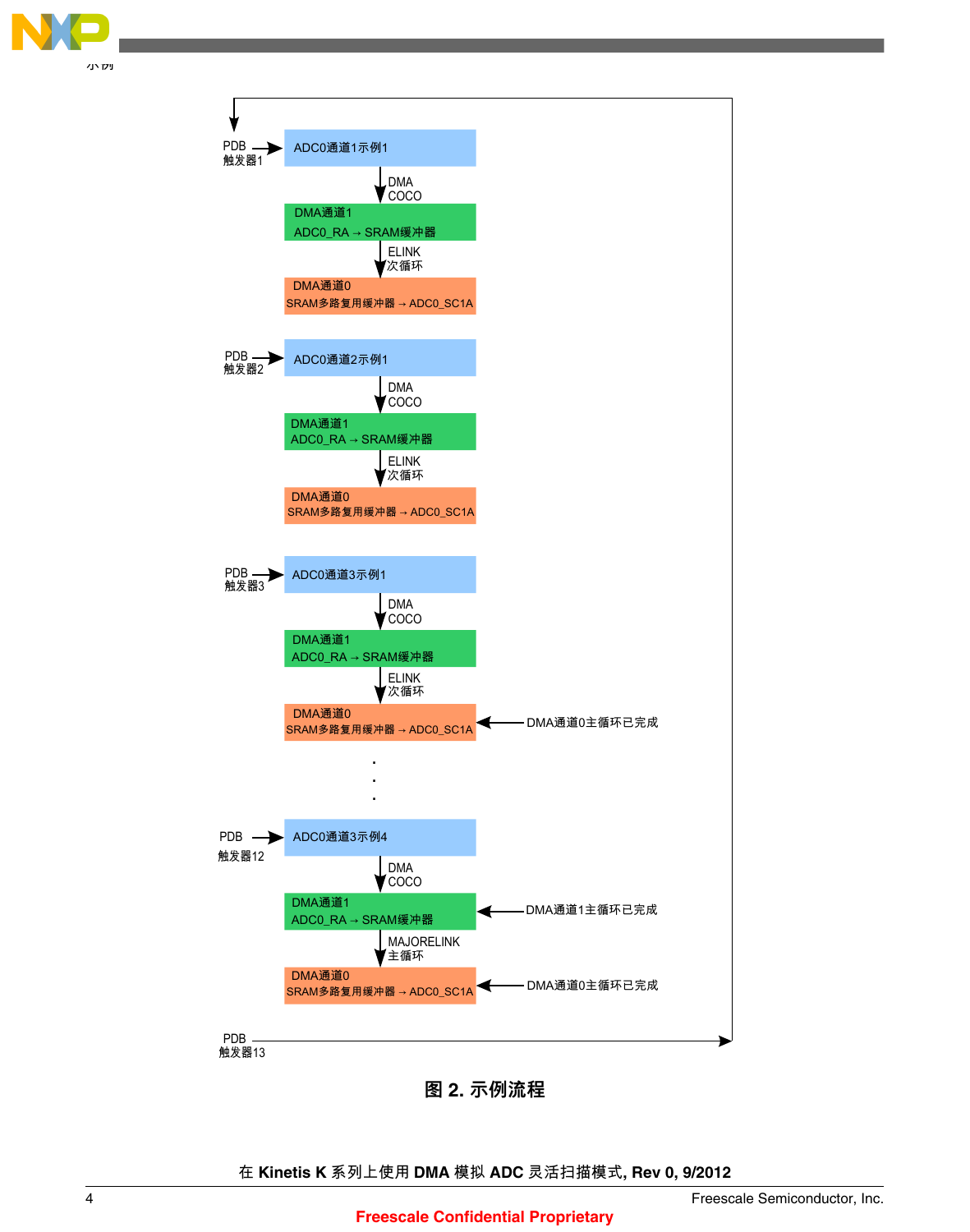



图 **2.** 示例流程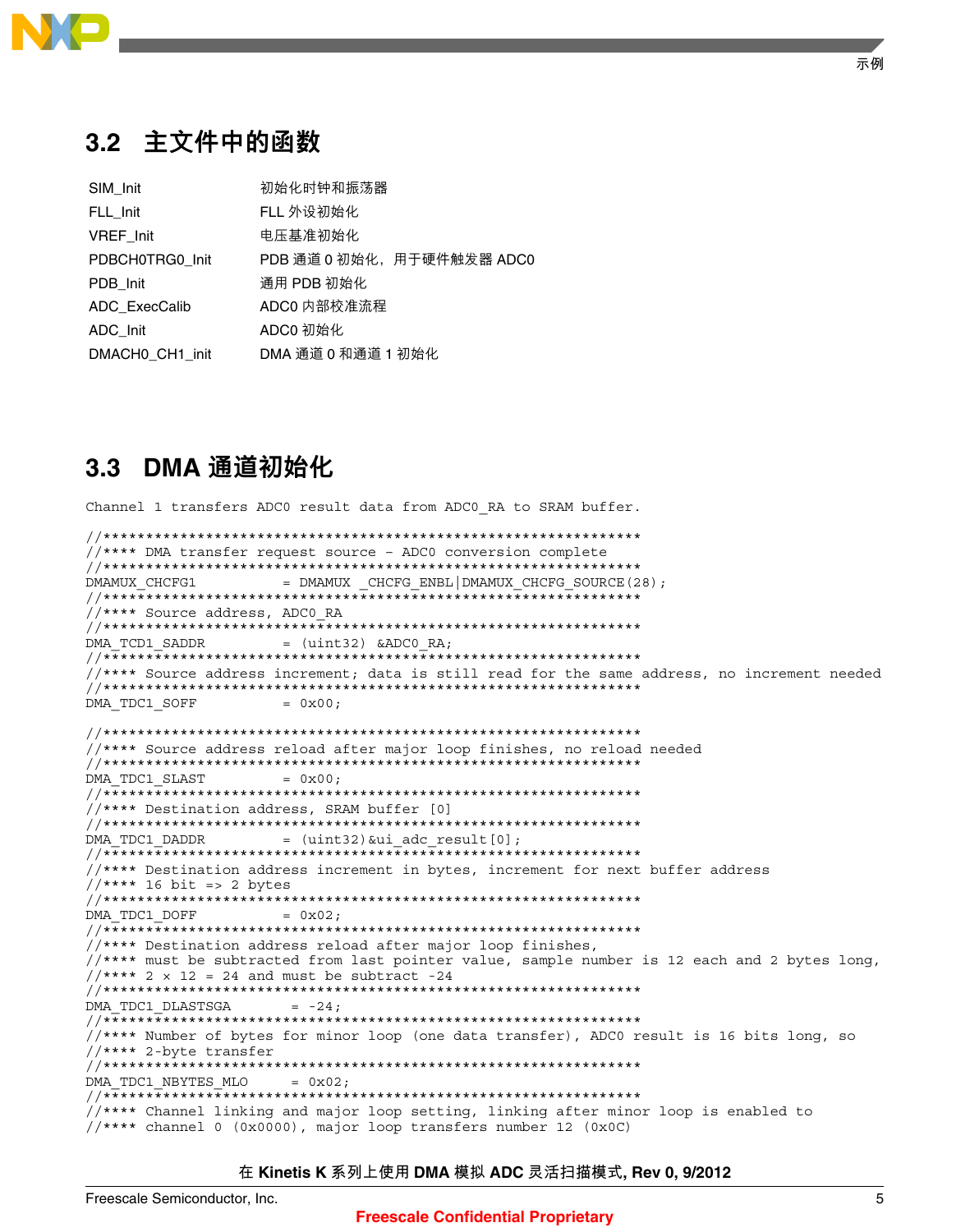<span id="page-4-0"></span>

# 3.2 主文件中的函数

| SIM Init        | 初始化时钟和振荡器                 |
|-----------------|---------------------------|
| FLL Init        | FLL 外设初始化                 |
| VREF Init       | 电压基准初始化                   |
| PDBCH0TRG0 Init | PDB 通道 0 初始化,用于硬件触发器 ADC0 |
| PDB Init        | 通用 PDB 初始化                |
| ADC ExecCalib   | ADC0 内部校准流程               |
| ADC Init        | ADCO 初始化                  |
| DMACHO CH1 init | DMA 通道 0 和通道 1 初始化        |

## 3.3 DMA 通道初始化

Channel 1 transfers ADC0 result data from ADC0 RA to SRAM buffer.

```
//**** DMA transfer request source - ADC0 conversion complete
DMAMUX CHCFG1
           = DMAMUX CHCFG ENBL DMAMUX CHCFG SOURCE (28) ;
//**** Source address, ADC0_RA
DMA TCD1 SADDR
           = (uint32) & ADCO RA;
//**** Source address increment; data is still read for the same address, no increment needed
DMA TDC1 SOFF
            = 0x00:
//**** Source address reload after major loop finishes, no reload needed
DMA TDC1 SLAST
            = 0x00;**********************************
//**** Destination address, SRAM buffer [0]
DMA TDC1 DADDR
           = (uint32) &ui_adc_result[0];
//**** Destination address increment in bytes, increment for next buffer address
//**** 16 bit => 2 bytes
DMA TDC1 DOFF
            = 0x02;//**** Destination address reload after major loop finishes,
//**** must be subtracted from last pointer value, sample number is 12 each and 2 bytes long,
//*** 2 x 12 = 24 and must be subtract -24
DMA TDC1 DLASTSGA
            = -24;//**** Number of bytes for minor loop (one data transfer), ADCO result is 16 bits long, so
//**** 2-byte transfer
DMA TDC1 NBYTES MLO
           = 0x02;//**** Channel linking and major loop setting, linking after minor loop is enabled to
//**** channel 0 (0x0000), major loop transfers number 12 (0x0C)
```
#### 在 Kinetis K 系列上使用 DMA 模拟 ADC 灵活扫描模式, Rev 0, 9/2012

### **Freescale Confidential Proprietary**

示例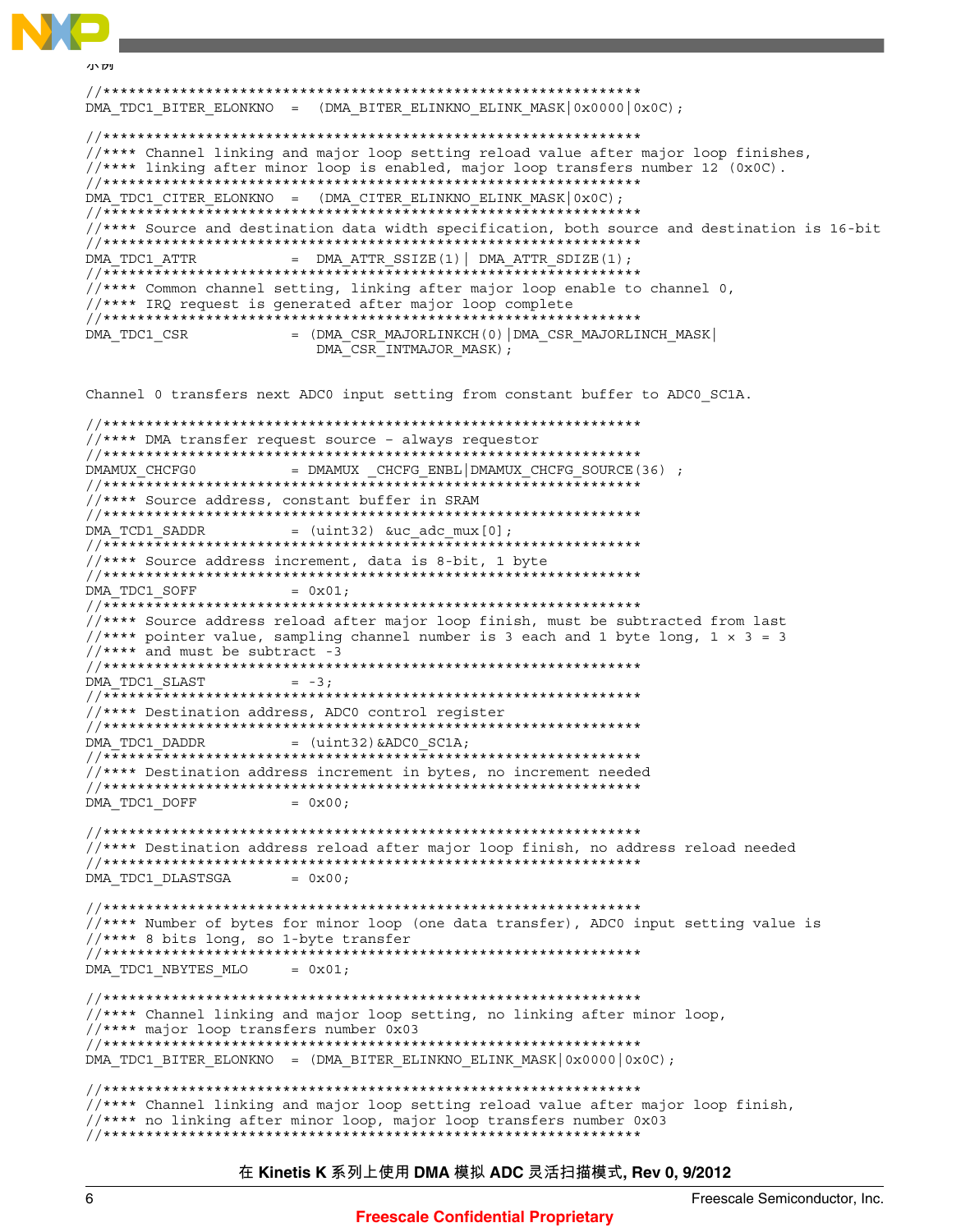```
ハハツ
DMA TDC1 BITER ELONKNO = (DMA BITER ELINKNO ELINK MASK \vert 0 \times 0000 \vert 0 \times 00);
//**** Channel linking and major loop setting reload value after major loop finishes,
//**** linking after minor loop is enabled, major loop transfers number 12 (0x0C).
DMA TDC1 CITER ELONKNO = (DMA CITER ELINKNO ELINK MASK |0x0C|);
//**** Source and destination data width specification, both source and destination is 16-bit
= DMA ATTR SSIZE(1) DMA ATTR SDIZE(1);
DMA TDC1 ATTR
//**** Common channel setting, linking after major loop enable to channel 0,
//**** IRO request is generated after major loop complete
DMA TDC1 CSR
            = (DMA CSR MAJORLINKCH(0) DMA CSR MAJORLINCH MASK
              DMA CSR INTMAJOR MASK);
Channel 0 transfers next ADC0 input setting from constant buffer to ADC0 SC1A.
//**** DMA transfer request source - always requestor
= DMAMUX CHCFG ENBL DMAMUX CHCFG SOURCE (36) ;
DMAMUX CHCFG0
//**** Source address, constant buffer in SRAM
DMA TCD1 SADDR
         = (uint32) & uc adc mux [0];
//**** Source address increment, data is 8-bit, 1 byte
DMA TDC1 SOFF
            = 0x01;//**** Source address reload after major loop finish, must be subtracted from last
//**** pointer value, sampling channel number is 3 each and 1 byte long, 1 \times 3 = 3//*** and must be subtract -3
DMA TDC1 SLAST
            = -3;//**** Destination address, ADC0 control register
DMA TDC1 DADDR
         = (uint32) & ADCO SC1A;
//**** Destination address increment in bytes, no increment needed
DMA TDC1 DOFF
            = 0x00;//**** Destination address reload after major loop finish, no address reload needed
DMA TDC1 DLASTSGA
            = 0x00;//**** Number of bytes for minor loop (one data transfer), ADCO input setting value is
//**** 8 bits long, so 1-byte transfer
DMA TDC1 NBYTES MLO
            = 0x01;//**** Channel linking and major loop setting, no linking after minor loop,
//*** major loop transfers number 0x03DMA_TDC1_BITER_ELONKNO = (DMA_BITER_ELINKNO_ELINK_MASK \vert 0x0000 \vert 0x00);
//**** Channel linking and major loop setting reload value after major loop finish,
//**** no linking after minor loop, major loop transfers number 0x03
```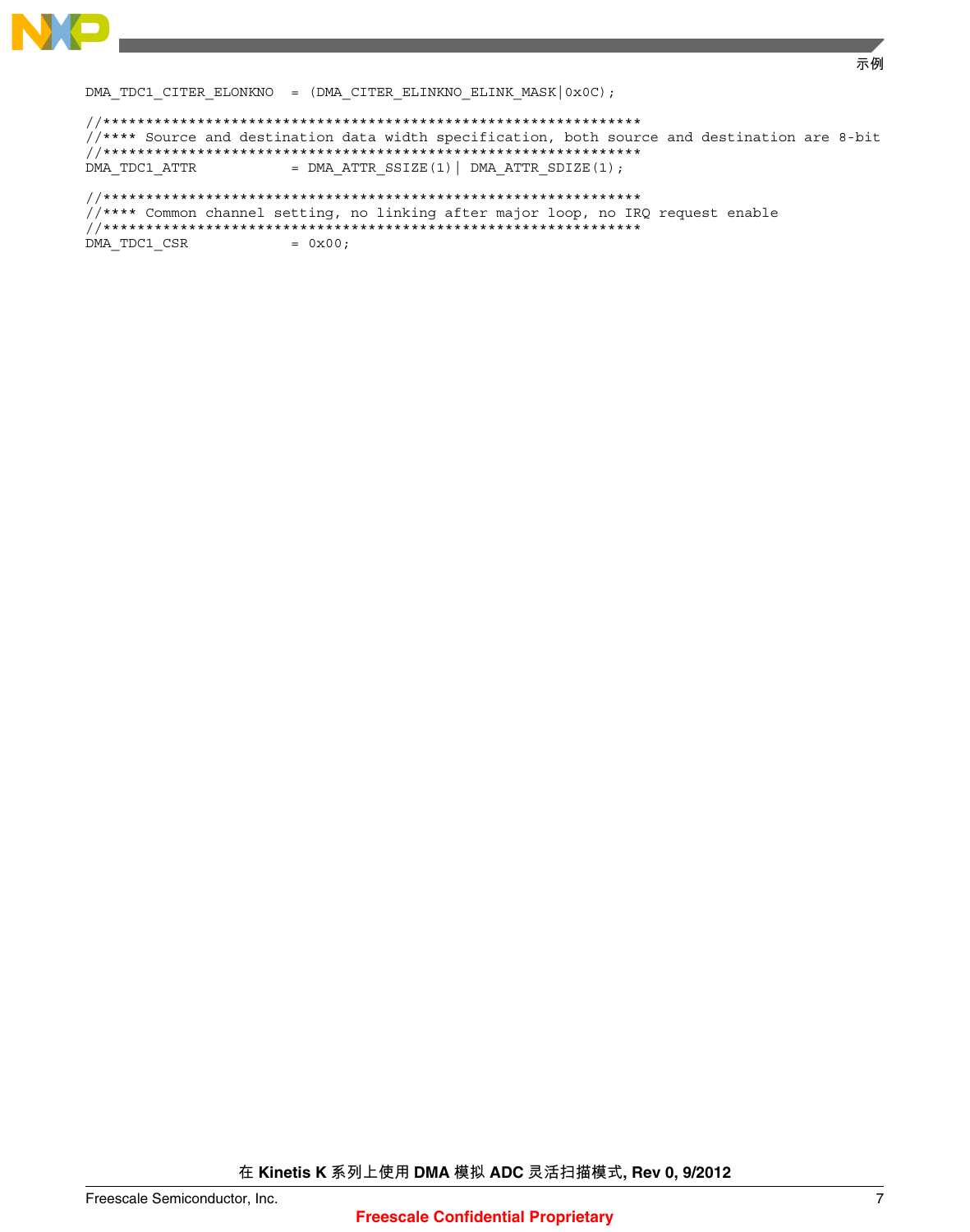

DMA\_TDC1\_CITER\_ELONKNO = (DMA\_CITER\_ELINKNO\_ELINK\_MASK|0x0C);

```
//**** Source and destination data width specification, both source and destination are 8-bit
DMA TDC1 ATTR
            = DMA ATTR SSIZE(1) | DMA ATTR SDIZE(1);
//**** Common channel setting, no linking after major loop, no IRQ request enable
```
DMA\_TDC1\_CSR  $= 0x00;$